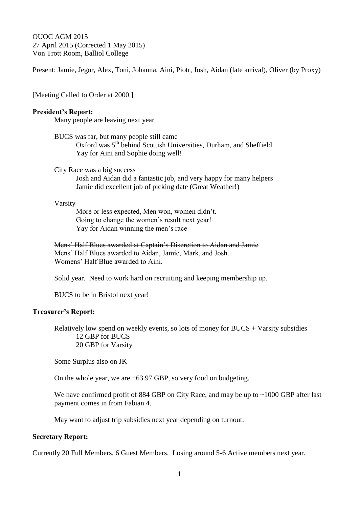OUOC AGM 2015 27 April 2015 (Corrected 1 May 2015) Von Trott Room, Balliol College

Present: Jamie, Jegor, Alex, Toni, Johanna, Aini, Piotr, Josh, Aidan (late arrival), Oliver (by Proxy)

[Meeting Called to Order at 2000.]

#### **President's Report:**

Many people are leaving next year

BUCS was far, but many people still came Oxford was 5<sup>th</sup> behind Scottish Universities, Durham, and Sheffield Yay for Aini and Sophie doing well!

City Race was a big success

Josh and Aidan did a fantastic job, and very happy for many helpers Jamie did excellent job of picking date (Great Weather!)

#### Varsity

More or less expected, Men won, women didn't. Going to change the women's result next year! Yay for Aidan winning the men's race

Mens' Half Blues awarded at Captain's Discretion to Aidan and Jamie Mens' Half Blues awarded to Aidan, Jamie, Mark, and Josh. Womens' Half Blue awarded to Aini.

Solid year. Need to work hard on recruiting and keeping membership up.

BUCS to be in Bristol next year!

#### **Treasurer's Report:**

Relatively low spend on weekly events, so lots of money for  $BUCS + Vars$  subsidies 12 GBP for BUCS 20 GBP for Varsity

Some Surplus also on JK

On the whole year, we are +63.97 GBP, so very food on budgeting.

We have confirmed profit of 884 GBP on City Race, and may be up to ~1000 GBP after last payment comes in from Fabian 4.

May want to adjust trip subsidies next year depending on turnout.

## **Secretary Report:**

Currently 20 Full Members, 6 Guest Members. Losing around 5-6 Active members next year.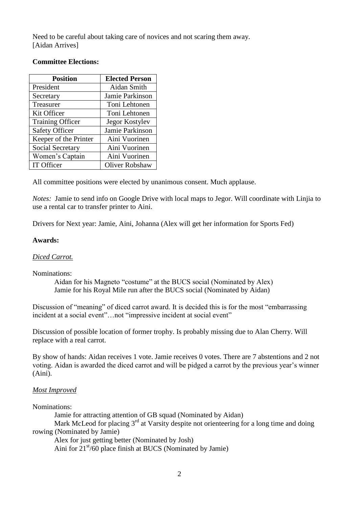Need to be careful about taking care of novices and not scaring them away. [Aidan Arrives]

## **Committee Elections:**

| <b>Position</b>         | <b>Elected Person</b> |
|-------------------------|-----------------------|
| President               | Aidan Smith           |
| Secretary               | Jamie Parkinson       |
| Treasurer               | Toni Lehtonen         |
| Kit Officer             | Toni Lehtonen         |
| <b>Training Officer</b> | Jegor Kostylev        |
| <b>Safety Officer</b>   | Jamie Parkinson       |
| Keeper of the Printer   | Aini Vuorinen         |
| Social Secretary        | Aini Vuorinen         |
| Women's Captain         | Aini Vuorinen         |
| IT Officer              | Oliver Robshaw        |

All committee positions were elected by unanimous consent. Much applause.

*Notes:* Jamie to send info on Google Drive with local maps to Jegor. Will coordinate with Linjia to use a rental car to transfer printer to Aini.

Drivers for Next year: Jamie, Aini, Johanna (Alex will get her information for Sports Fed)

### **Awards:**

## *Diced Carrot.*

Nominations:

Aidan for his Magneto "costume" at the BUCS social (Nominated by Alex) Jamie for his Royal Mile run after the BUCS social (Nominated by Aidan)

Discussion of "meaning" of diced carrot award. It is decided this is for the most "embarrassing incident at a social event"…not "impressive incident at social event"

Discussion of possible location of former trophy. Is probably missing due to Alan Cherry. Will replace with a real carrot.

By show of hands: Aidan receives 1 vote. Jamie receives 0 votes. There are 7 abstentions and 2 not voting. Aidan is awarded the diced carrot and will be pidged a carrot by the previous year's winner (Aini).

# *Most Improved*

### Nominations:

Jamie for attracting attention of GB squad (Nominated by Aidan)

Mark McLeod for placing 3<sup>rd</sup> at Varsity despite not orienteering for a long time and doing rowing (Nominated by Jamie)

Alex for just getting better (Nominated by Josh)

Aini for  $21<sup>st</sup>/60$  place finish at BUCS (Nominated by Jamie)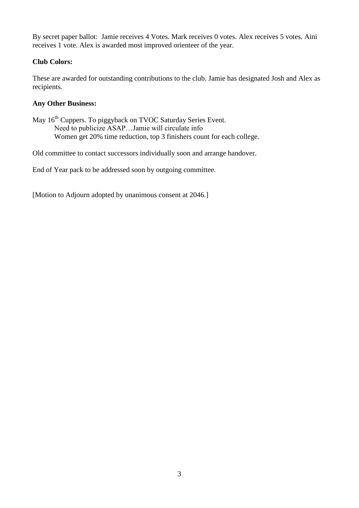By secret paper ballot: Jamie receives 4 Votes. Mark receives 0 votes. Alex receives 5 votes. Aini receives 1 vote. Alex is awarded most improved orienteer of the year.

# **Club Colors:**

These are awarded for outstanding contributions to the club. Jamie has designated Josh and Alex as recipients.

# **Any Other Business:**

May 16<sup>th</sup> Cuppers. To piggyback on TVOC Saturday Series Event. Need to publicize ASAP…Jamie will circulate info Women get 20% time reduction, top 3 finishers count for each college.

Old committee to contact successors individually soon and arrange handover.

End of Year pack to be addressed soon by outgoing committee.

[Motion to Adjourn adopted by unanimous consent at 2046.]